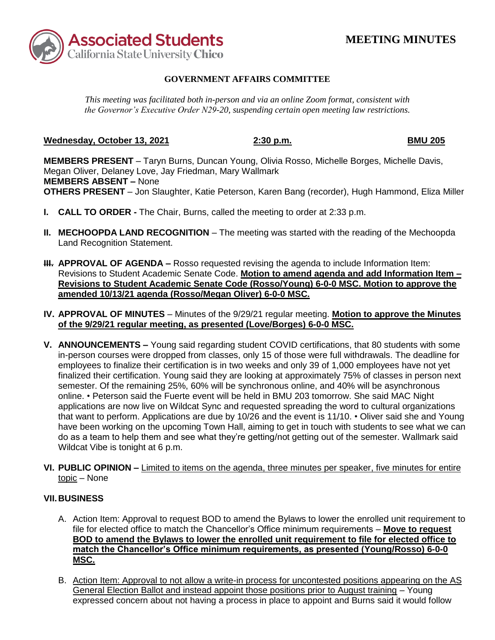

# **MEETING MINUTES**

## **GOVERNMENT AFFAIRS COMMITTEE**

*This meeting was facilitated both in-person and via an online Zoom format, consistent with the Governor's Executive Order N29-20, suspending certain open meeting law restrictions.* 

#### **Wednesday, October 13, 2021 2:30 p.m. BMU 205**

 Megan Oliver, Delaney Love, Jay Friedman, Mary Wallmark  **MEMBERS ABSENT –** None **MEMBERS PRESENT** – Taryn Burns, Duncan Young, Olivia Rosso, Michelle Borges, Michelle Davis, **OTHERS PRESENT** – Jon Slaughter, Katie Peterson, Karen Bang (recorder), Hugh Hammond, Eliza Miller

- **I. CALL TO ORDER -** The Chair, Burns, called the meeting to order at 2:33 p.m.
- **II. MECHOOPDA LAND RECOGNITION** The meeting was started with the reading of the Mechoopda Land Recognition Statement.
- **III. APPROVAL OF AGENDA –** Rosso requested revising the agenda to include Information Item:  Revisions to Student Academic Senate Code. **Motion to amend agenda and add Information Item – Revisions to Student Academic Senate Code (Rosso/Young) 6-0-0 MSC. Motion to approve the amended 10/13/21 agenda (Rosso/Megan Oliver) 6-0-0 MSC.**
- **IV. APPROVAL OF MINUTES**  Minutes of the 9/29/21 regular meeting. **Motion to approve the Minutes of the 9/29/21 regular meeting, as presented (Love/Borges) 6-0-0 MSC.**
- in-person courses were dropped from classes, only 15 of those were full withdrawals. The deadline for employees to finalize their certification is in two weeks and only 39 of 1,000 employees have not yet finalized their certification. Young said they are looking at approximately 75% of classes in person next semester. Of the remaining 25%, 60% will be synchronous online, and 40% will be asynchronous online. • Peterson said the Fuerte event will be held in BMU 203 tomorrow. She said MAC Night applications are now live on Wildcat Sync and requested spreading the word to cultural organizations that want to perform. Applications are due by 10/26 and the event is 11/10. • Oliver said she and Young have been working on the upcoming Town Hall, aiming to get in touch with students to see what we can do as a team to help them and see what they're getting/not getting out of the semester. Wallmark said Wildcat Vibe is tonight at 6 p.m. **V. ANNOUNCEMENTS –** Young said regarding student COVID certifications, that 80 students with some
- **VI. PUBLIC OPINION –** Limited to items on the agenda, three minutes per speaker, five minutes for entire topic – None

# **VII. BUSINESS**

- A. Action Item: Approval to request BOD to amend the Bylaws to lower the enrolled unit requirement to file for elected office to match the Chancellor's Office minimum requirements – **Move to request BOD to amend the Bylaws to lower the enrolled unit requirement to file for elected office to match the Chancellor's Office minimum requirements, as presented (Young/Rosso) 6-0-0 MSC.**
- B. Action Item: Approval to not allow a write-in process for uncontested positions appearing on the AS General Election Ballot and instead appoint those positions prior to August training – Young expressed concern about not having a process in place to appoint and Burns said it would follow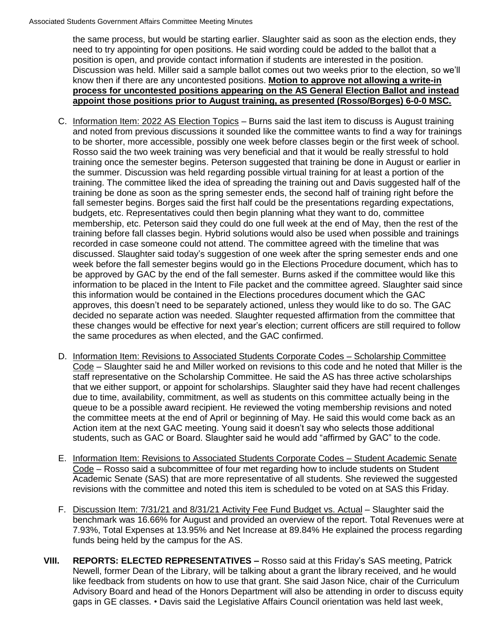the same process, but would be starting earlier. Slaughter said as soon as the election ends, they need to try appointing for open positions. He said wording could be added to the ballot that a position is open, and provide contact information if students are interested in the position. Discussion was held. Miller said a sample ballot comes out two weeks prior to the election, so we'll know then if there are any uncontested positions. **Motion to approve not allowing a write-in process for uncontested positions appearing on the AS General Election Ballot and instead appoint those positions prior to August training, as presented (Rosso/Borges) 6-0-0 MSC.** 

- C. Information Item: 2022 AS Election Topics Burns said the last item to discuss is August training and noted from previous discussions it sounded like the committee wants to find a way for trainings to be shorter, more accessible, possibly one week before classes begin or the first week of school. Rosso said the two week training was very beneficial and that it would be really stressful to hold training once the semester begins. Peterson suggested that training be done in August or earlier in the summer. Discussion was held regarding possible virtual training for at least a portion of the training. The committee liked the idea of spreading the training out and Davis suggested half of the training be done as soon as the spring semester ends, the second half of training right before the fall semester begins. Borges said the first half could be the presentations regarding expectations, budgets, etc. Representatives could then begin planning what they want to do, committee membership, etc. Peterson said they could do one full week at the end of May, then the rest of the training before fall classes begin. Hybrid solutions would also be used when possible and trainings recorded in case someone could not attend. The committee agreed with the timeline that was discussed. Slaughter said today's suggestion of one week after the spring semester ends and one week before the fall semester begins would go in the Elections Procedure document, which has to be approved by GAC by the end of the fall semester. Burns asked if the committee would like this information to be placed in the Intent to File packet and the committee agreed. Slaughter said since this information would be contained in the Elections procedures document which the GAC approves, this doesn't need to be separately actioned, unless they would like to do so. The GAC decided no separate action was needed. Slaughter requested affirmation from the committee that these changes would be effective for next year's election; current officers are still required to follow the same procedures as when elected, and the GAC confirmed.
- D. Information Item: Revisions to Associated Students Corporate Codes Scholarship Committee Code – Slaughter said he and Miller worked on revisions to this code and he noted that Miller is the staff representative on the Scholarship Committee. He said the AS has three active scholarships that we either support, or appoint for scholarships. Slaughter said they have had recent challenges due to time, availability, commitment, as well as students on this committee actually being in the queue to be a possible award recipient. He reviewed the voting membership revisions and noted the committee meets at the end of April or beginning of May. He said this would come back as an Action item at the next GAC meeting. Young said it doesn't say who selects those additional students, such as GAC or Board. Slaughter said he would add "affirmed by GAC" to the code.
- E. Information Item: Revisions to Associated Students Corporate Codes Student Academic Senate Code – Rosso said a subcommittee of four met regarding how to include students on Student Academic Senate (SAS) that are more representative of all students. She reviewed the suggested revisions with the committee and noted this item is scheduled to be voted on at SAS this Friday.
- F. Discussion Item: 7/31/21 and 8/31/21 Activity Fee Fund Budget vs. Actual Slaughter said the benchmark was 16.66% for August and provided an overview of the report. Total Revenues were at 7.93%, Total Expenses at 13.95% and Net Increase at 89.84% He explained the process regarding funds being held by the campus for the AS.
- Newell, former Dean of the Library, will be talking about a grant the library received, and he would like feedback from students on how to use that grant. She said Jason Nice, chair of the Curriculum Advisory Board and head of the Honors Department will also be attending in order to discuss equity **VIII. REPORTS: ELECTED REPRESENTATIVES –** Rosso said at this Friday's SAS meeting, Patrick gaps in GE classes. • Davis said the Legislative Affairs Council orientation was held last week,